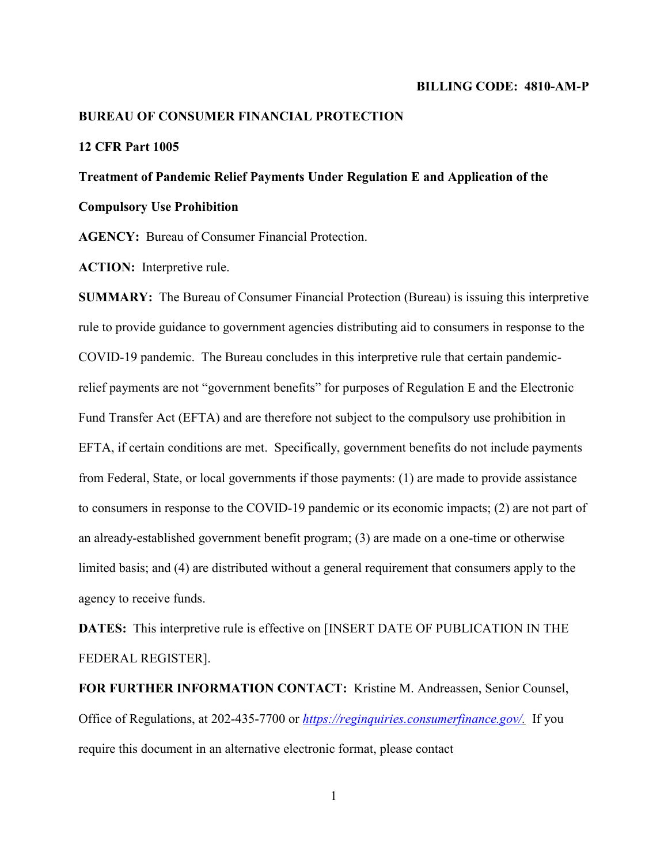#### **BILLING CODE: 4810-AM-P**

#### **BUREAU OF CONSUMER FINANCIAL PROTECTION**

# **12 CFR Part 1005**

# **Treatment of Pandemic Relief Payments Under Regulation E and Application of the**

**Compulsory Use Prohibition** 

**AGENCY:** Bureau of Consumer Financial Protection.

**ACTION:** Interpretive rule.

**SUMMARY:** The Bureau of Consumer Financial Protection (Bureau) is issuing this interpretive rule to provide guidance to government agencies distributing aid to consumers in response to the COVID-19 pandemic. The Bureau concludes in this interpretive rule that certain pandemicrelief payments are not "government benefits" for purposes of Regulation E and the Electronic Fund Transfer Act (EFTA) and are therefore not subject to the compulsory use prohibition in EFTA, if certain conditions are met. Specifically, government benefits do not include payments from Federal, State, or local governments if those payments: (1) are made to provide assistance to consumers in response to the COVID-19 pandemic or its economic impacts; (2) are not part of an already-established government benefit program; (3) are made on a one-time or otherwise limited basis; and (4) are distributed without a general requirement that consumers apply to the agency to receive funds.

**DATES:** This interpretive rule is effective on [INSERT DATE OF PUBLICATION IN THE FEDERAL REGISTER].

**FOR FURTHER INFORMATION CONTACT:** Kristine M. Andreassen, Senior Counsel, Office of Regulations, at 202-435-7700 or *[https://reginquiries.consumerfinance.gov/.](https://reginquiries.consumerfinance.gov/)* If you require this document in an alternative electronic format, please contact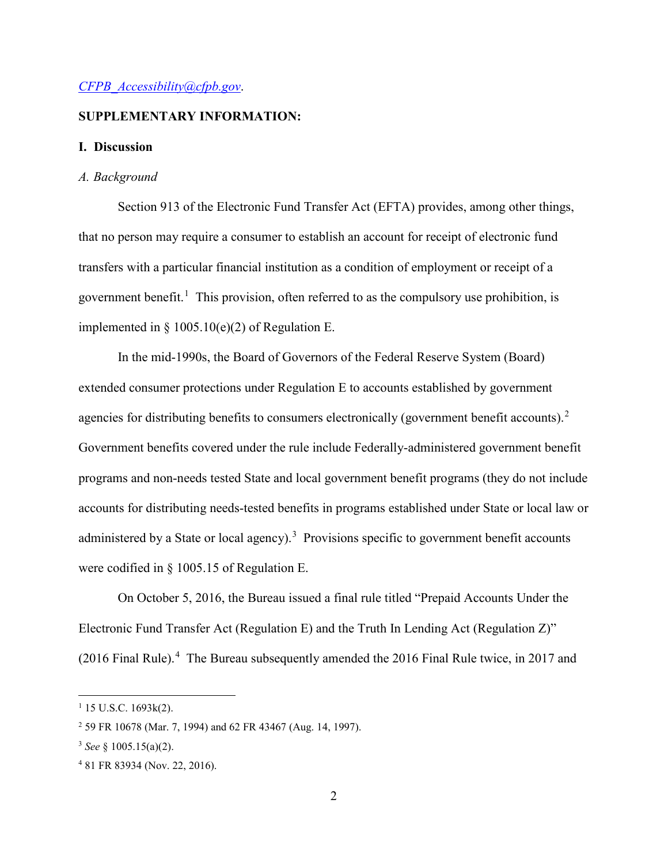#### *[CFPB\\_Accessibility@cfpb.gov](mailto:CFPB_Accessibility@cfpb.gov)*.

## **SUPPLEMENTARY INFORMATION:**

#### **I. Discussion**

#### *A. Background*

Section 913 of the Electronic Fund Transfer Act (EFTA) provides, among other things, that no person may require a consumer to establish an account for receipt of electronic fund transfers with a particular financial institution as a condition of employment or receipt of a government benefit. [1](#page-1-0) This provision, often referred to as the compulsory use prohibition, is implemented in  $\S$  1005.10(e)(2) of Regulation E.

In the mid-1990s, the Board of Governors of the Federal Reserve System (Board) extended consumer protections under Regulation E to accounts established by government agencies for distributing benefits to consumers electronically (government benefit accounts).<sup>[2](#page-1-1)</sup> Government benefits covered under the rule include Federally-administered government benefit programs and non-needs tested State and local government benefit programs (they do not include accounts for distributing needs-tested benefits in programs established under State or local law or administered by a State or local agency).<sup>[3](#page-1-2)</sup> Provisions specific to government benefit accounts were codified in § 1005.15 of Regulation E.

On October 5, 2016, the Bureau issued a final rule titled "Prepaid Accounts Under the Electronic Fund Transfer Act (Regulation E) and the Truth In Lending Act (Regulation Z)" (2016 Final Rule).<sup>[4](#page-1-3)</sup> The Bureau subsequently amended the 2016 Final Rule twice, in 2017 and

<span id="page-1-0"></span> $1$  15 U.S.C. 1693 $k(2)$ .

<span id="page-1-1"></span><sup>2</sup> 59 FR 10678 (Mar. 7, 1994) and 62 FR 43467 (Aug. 14, 1997).

<span id="page-1-2"></span><sup>3</sup> *See* § 1005.15(a)(2).

<span id="page-1-3"></span><sup>4</sup> 81 FR 83934 (Nov. 22, 2016).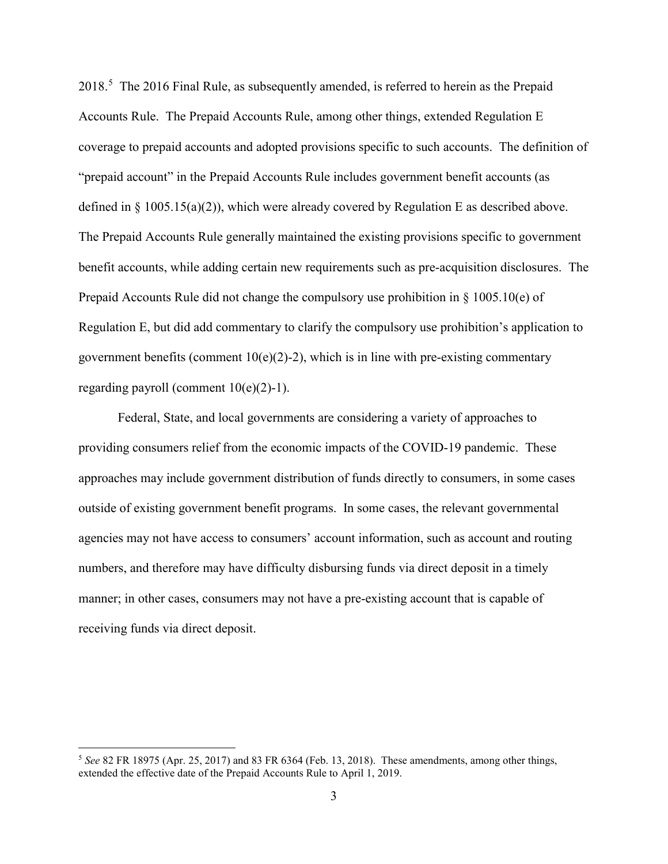2018.[5](#page-2-0) The 2016 Final Rule, as subsequently amended, is referred to herein as the Prepaid Accounts Rule. The Prepaid Accounts Rule, among other things, extended Regulation E coverage to prepaid accounts and adopted provisions specific to such accounts. The definition of "prepaid account" in the Prepaid Accounts Rule includes government benefit accounts (as defined in  $\S 1005.15(a)(2)$ , which were already covered by Regulation E as described above. The Prepaid Accounts Rule generally maintained the existing provisions specific to government benefit accounts, while adding certain new requirements such as pre-acquisition disclosures. The Prepaid Accounts Rule did not change the compulsory use prohibition in § 1005.10(e) of Regulation E, but did add commentary to clarify the compulsory use prohibition's application to government benefits (comment  $10(e)(2)-2$ ), which is in line with pre-existing commentary regarding payroll (comment  $10(e)(2)-1$ ).

Federal, State, and local governments are considering a variety of approaches to providing consumers relief from the economic impacts of the COVID-19 pandemic. These approaches may include government distribution of funds directly to consumers, in some cases outside of existing government benefit programs. In some cases, the relevant governmental agencies may not have access to consumers' account information, such as account and routing numbers, and therefore may have difficulty disbursing funds via direct deposit in a timely manner; in other cases, consumers may not have a pre-existing account that is capable of receiving funds via direct deposit.

<span id="page-2-0"></span> <sup>5</sup> *See* 82 FR 18975 (Apr. 25, 2017) and 83 FR 6364 (Feb. 13, 2018). These amendments, among other things, extended the effective date of the Prepaid Accounts Rule to April 1, 2019.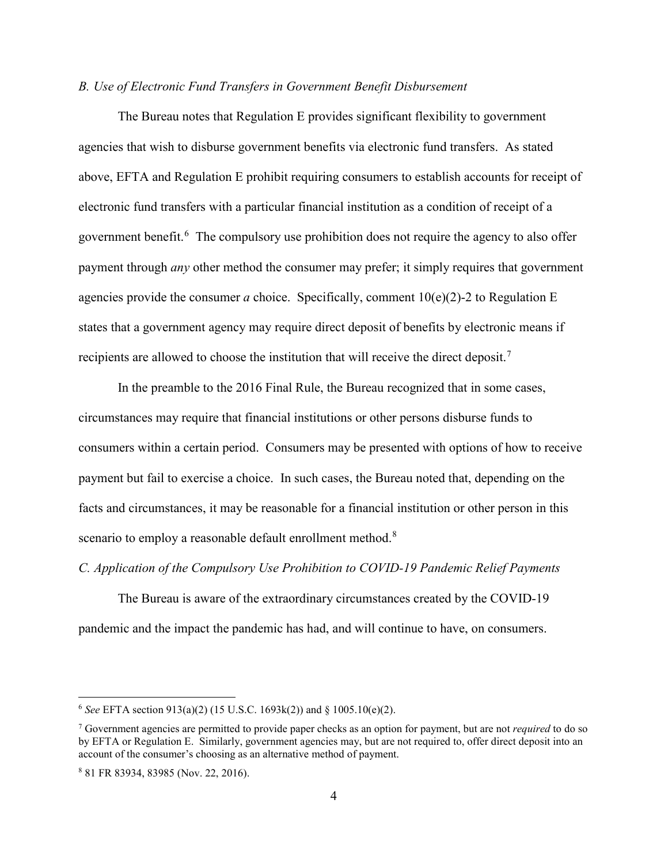## *B. Use of Electronic Fund Transfers in Government Benefit Disbursement*

The Bureau notes that Regulation E provides significant flexibility to government agencies that wish to disburse government benefits via electronic fund transfers. As stated above, EFTA and Regulation E prohibit requiring consumers to establish accounts for receipt of electronic fund transfers with a particular financial institution as a condition of receipt of a government benefit.<sup>[6](#page-3-0)</sup> The compulsory use prohibition does not require the agency to also offer payment through *any* other method the consumer may prefer; it simply requires that government agencies provide the consumer *a* choice. Specifically, comment 10(e)(2)-2 to Regulation E states that a government agency may require direct deposit of benefits by electronic means if recipients are allowed to choose the institution that will receive the direct deposit.[7](#page-3-1)

In the preamble to the 2016 Final Rule, the Bureau recognized that in some cases, circumstances may require that financial institutions or other persons disburse funds to consumers within a certain period. Consumers may be presented with options of how to receive payment but fail to exercise a choice. In such cases, the Bureau noted that, depending on the facts and circumstances, it may be reasonable for a financial institution or other person in this scenario to employ a reasonable default enrollment method.<sup>[8](#page-3-2)</sup>

*C. Application of the Compulsory Use Prohibition to COVID-19 Pandemic Relief Payments*

The Bureau is aware of the extraordinary circumstances created by the COVID-19 pandemic and the impact the pandemic has had, and will continue to have, on consumers.

<span id="page-3-0"></span> <sup>6</sup> *See* EFTA section 913(a)(2) (15 U.S.C. 1693k(2)) and § 1005.10(e)(2).

<span id="page-3-1"></span><sup>7</sup> Government agencies are permitted to provide paper checks as an option for payment, but are not *required* to do so by EFTA or Regulation E. Similarly, government agencies may, but are not required to, offer direct deposit into an account of the consumer's choosing as an alternative method of payment.

<span id="page-3-2"></span><sup>8</sup> 81 FR 83934, 83985 (Nov. 22, 2016).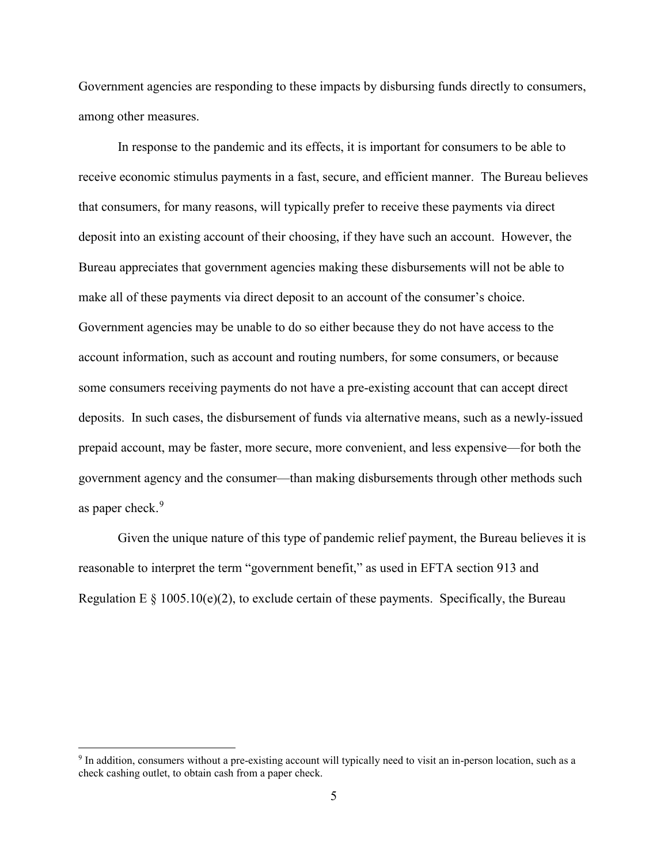Government agencies are responding to these impacts by disbursing funds directly to consumers, among other measures.

In response to the pandemic and its effects, it is important for consumers to be able to receive economic stimulus payments in a fast, secure, and efficient manner. The Bureau believes that consumers, for many reasons, will typically prefer to receive these payments via direct deposit into an existing account of their choosing, if they have such an account. However, the Bureau appreciates that government agencies making these disbursements will not be able to make all of these payments via direct deposit to an account of the consumer's choice. Government agencies may be unable to do so either because they do not have access to the account information, such as account and routing numbers, for some consumers, or because some consumers receiving payments do not have a pre-existing account that can accept direct deposits. In such cases, the disbursement of funds via alternative means, such as a newly-issued prepaid account, may be faster, more secure, more convenient, and less expensive—for both the government agency and the consumer—than making disbursements through other methods such as paper check.<sup>[9](#page-4-0)</sup>

Given the unique nature of this type of pandemic relief payment, the Bureau believes it is reasonable to interpret the term "government benefit," as used in EFTA section 913 and Regulation E  $\S$  1005.10(e)(2), to exclude certain of these payments. Specifically, the Bureau

<span id="page-4-0"></span> <sup>9</sup> In addition, consumers without a pre-existing account will typically need to visit an in-person location, such as a check cashing outlet, to obtain cash from a paper check.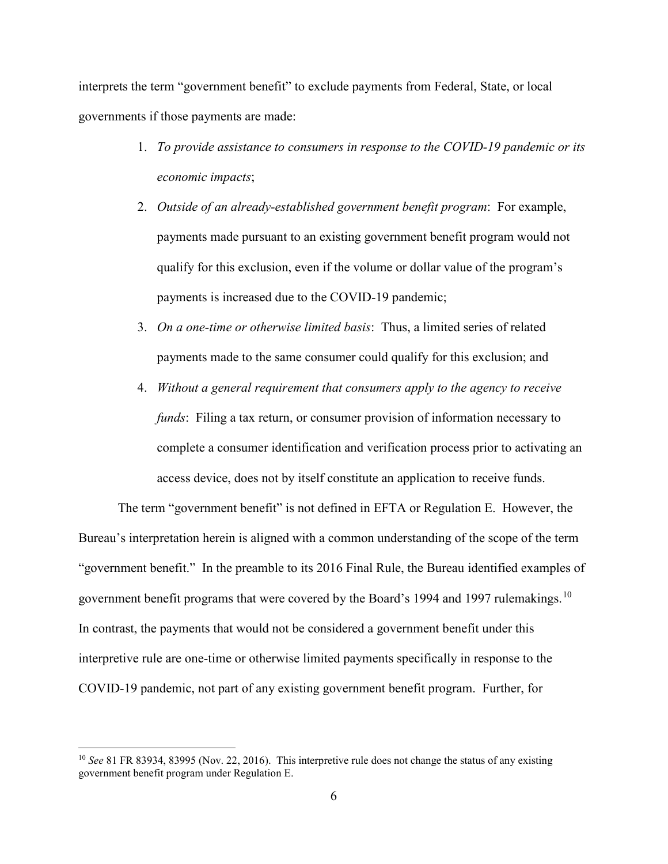interprets the term "government benefit" to exclude payments from Federal, State, or local governments if those payments are made:

- 1. *To provide assistance to consumers in response to the COVID-19 pandemic or its economic impacts*;
- 2. *Outside of an already-established government benefit program*: For example, payments made pursuant to an existing government benefit program would not qualify for this exclusion, even if the volume or dollar value of the program's payments is increased due to the COVID-19 pandemic;
- 3. *On a one-time or otherwise limited basis*: Thus, a limited series of related payments made to the same consumer could qualify for this exclusion; and
- 4. *Without a general requirement that consumers apply to the agency to receive funds*: Filing a tax return, or consumer provision of information necessary to complete a consumer identification and verification process prior to activating an access device, does not by itself constitute an application to receive funds.

The term "government benefit" is not defined in EFTA or Regulation E. However, the Bureau's interpretation herein is aligned with a common understanding of the scope of the term "government benefit." In the preamble to its 2016 Final Rule, the Bureau identified examples of government benefit programs that were covered by the Board's 1994 and 1997 rulemakings.<sup>[10](#page-5-0)</sup> In contrast, the payments that would not be considered a government benefit under this interpretive rule are one-time or otherwise limited payments specifically in response to the COVID-19 pandemic, not part of any existing government benefit program. Further, for

<span id="page-5-0"></span><sup>&</sup>lt;sup>10</sup> *See* 81 FR 83934, 83995 (Nov. 22, 2016). This interpretive rule does not change the status of any existing government benefit program under Regulation E.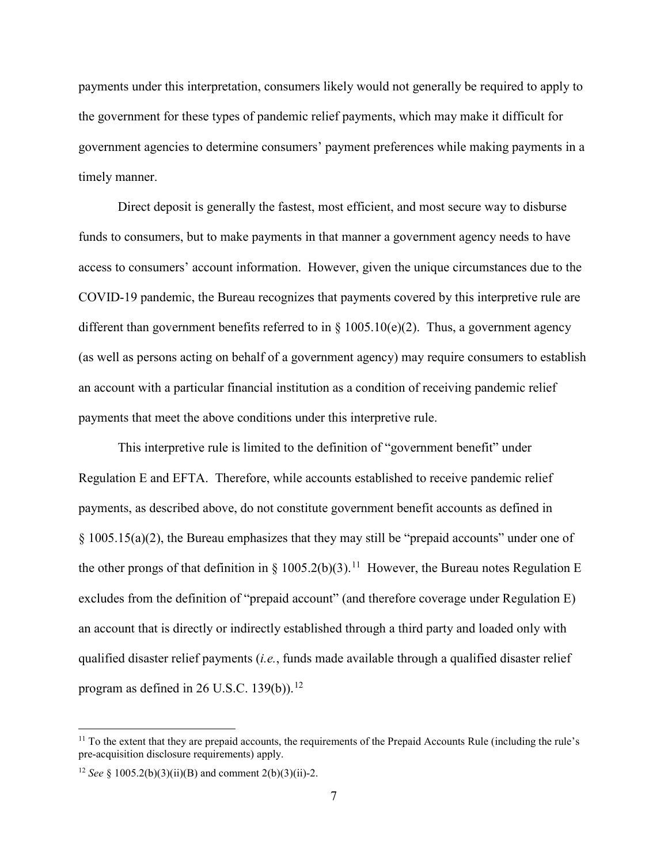payments under this interpretation, consumers likely would not generally be required to apply to the government for these types of pandemic relief payments, which may make it difficult for government agencies to determine consumers' payment preferences while making payments in a timely manner.

Direct deposit is generally the fastest, most efficient, and most secure way to disburse funds to consumers, but to make payments in that manner a government agency needs to have access to consumers' account information. However, given the unique circumstances due to the COVID-19 pandemic, the Bureau recognizes that payments covered by this interpretive rule are different than government benefits referred to in  $\S$  1005.10(e)(2). Thus, a government agency (as well as persons acting on behalf of a government agency) may require consumers to establish an account with a particular financial institution as a condition of receiving pandemic relief payments that meet the above conditions under this interpretive rule.

This interpretive rule is limited to the definition of "government benefit" under Regulation E and EFTA. Therefore, while accounts established to receive pandemic relief payments, as described above, do not constitute government benefit accounts as defined in § 1005.15(a)(2), the Bureau emphasizes that they may still be "prepaid accounts" under one of the other prongs of that definition in § 1005.2(b)(3).<sup>11</sup> However, the Bureau notes Regulation E excludes from the definition of "prepaid account" (and therefore coverage under Regulation E) an account that is directly or indirectly established through a third party and loaded only with qualified disaster relief payments (*i.e.*, funds made available through a qualified disaster relief program as defined in 26 U.S.C.  $139(b)$ .<sup>[12](#page-6-1)</sup>

<span id="page-6-0"></span> $11$  To the extent that they are prepaid accounts, the requirements of the Prepaid Accounts Rule (including the rule's pre-acquisition disclosure requirements) apply.

<span id="page-6-1"></span><sup>&</sup>lt;sup>12</sup> *See* § 1005.2(b)(3)(ii)(B) and comment 2(b)(3)(ii)-2.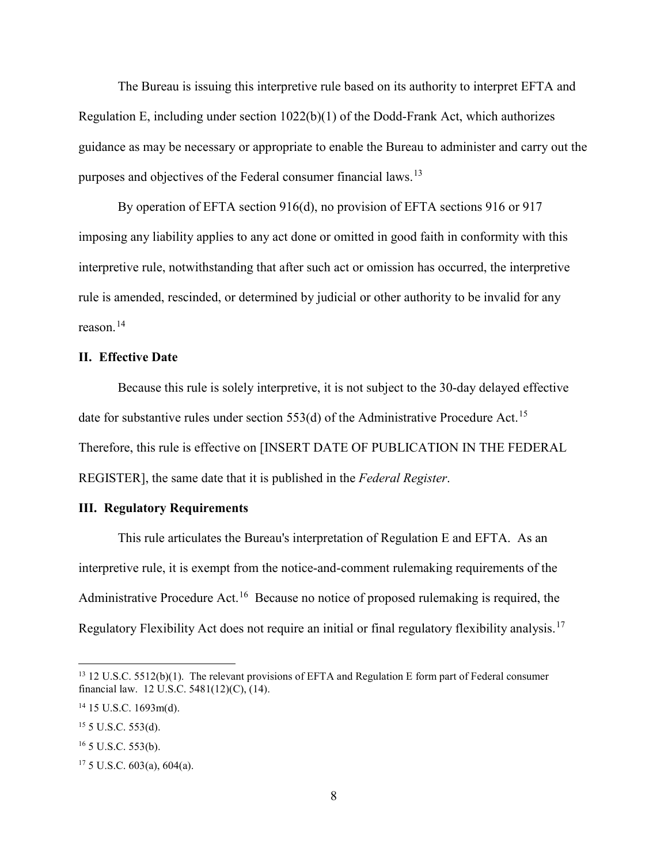The Bureau is issuing this interpretive rule based on its authority to interpret EFTA and Regulation E, including under section 1022(b)(1) of the Dodd-Frank Act, which authorizes guidance as may be necessary or appropriate to enable the Bureau to administer and carry out the purposes and objectives of the Federal consumer financial laws.<sup>[13](#page-7-0)</sup>

By operation of EFTA section 916(d), no provision of EFTA sections 916 or 917 imposing any liability applies to any act done or omitted in good faith in conformity with this interpretive rule, notwithstanding that after such act or omission has occurred, the interpretive rule is amended, rescinded, or determined by judicial or other authority to be invalid for any reason $14$ 

## **II. Effective Date**

Because this rule is solely interpretive, it is not subject to the 30-day delayed effective date for substantive rules under section 553(d) of the Administrative Procedure Act.<sup>15</sup> Therefore, this rule is effective on [INSERT DATE OF PUBLICATION IN THE FEDERAL REGISTER], the same date that it is published in the *Federal Register*.

## **III. Regulatory Requirements**

This rule articulates the Bureau's interpretation of Regulation E and EFTA. As an interpretive rule, it is exempt from the notice-and-comment rulemaking requirements of the Administrative Procedure Act.<sup>[16](#page-7-3)</sup> Because no notice of proposed rulemaking is required, the Regulatory Flexibility Act does not require an initial or final regulatory flexibility analysis.<sup>[17](#page-7-4)</sup>

<span id="page-7-0"></span> $13$  12 U.S.C. 5512(b)(1). The relevant provisions of EFTA and Regulation E form part of Federal consumer financial law. 12 U.S.C. 5481(12)(C), (14).

<span id="page-7-1"></span><sup>14</sup> 15 U.S.C. 1693m(d).

<span id="page-7-2"></span> $15$  5 U.S.C. 553(d).

<span id="page-7-3"></span><sup>16</sup> 5 U.S.C. 553(b).

<span id="page-7-4"></span> $17\,5$  U.S.C. 603(a), 604(a).